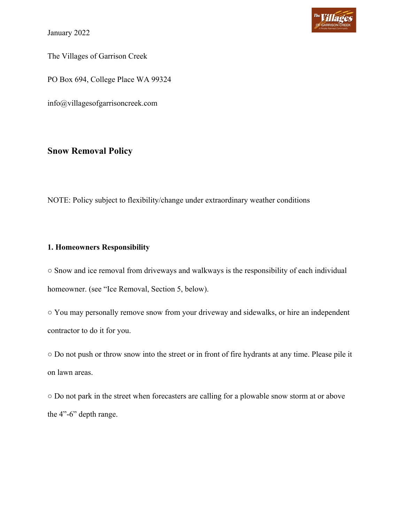January 2022



The Villages of Garrison Creek

PO Box 694, College Place WA 99324

info@villagesofgarrisoncreek.com

# **Snow Removal Policy**

NOTE: Policy subject to flexibility/change under extraordinary weather conditions

## **1. Homeowners Responsibility**

○ Snow and ice removal from driveways and walkways is the responsibility of each individual homeowner. (see "Ice Removal, Section 5, below).

○ You may personally remove snow from your driveway and sidewalks, or hire an independent contractor to do it for you.

○ Do not push or throw snow into the street or in front of fire hydrants at any time. Please pile it on lawn areas.

○ Do not park in the street when forecasters are calling for a plowable snow storm at or above the 4"-6" depth range.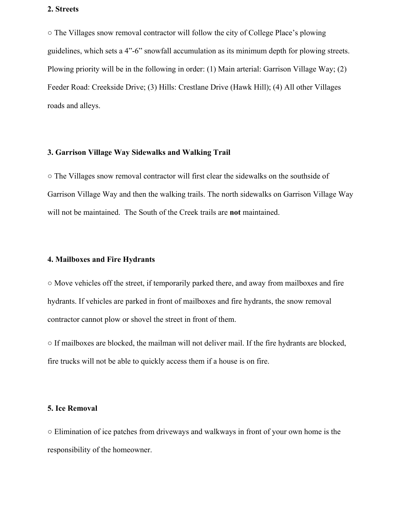### **2. Streets**

○ The Villages snow removal contractor will follow the city of College Place's plowing guidelines, which sets a 4"-6" snowfall accumulation as its minimum depth for plowing streets. Plowing priority will be in the following in order: (1) Main arterial: Garrison Village Way; (2) Feeder Road: Creekside Drive; (3) Hills: Crestlane Drive (Hawk Hill); (4) All other Villages roads and alleys.

#### **3. Garrison Village Way Sidewalks and Walking Trail**

○ The Villages snow removal contractor will first clear the sidewalks on the southside of Garrison Village Way and then the walking trails. The north sidewalks on Garrison Village Way will not be maintained. The South of the Creek trails are **not** maintained.

### **4. Mailboxes and Fire Hydrants**

○ Move vehicles off the street, if temporarily parked there, and away from mailboxes and fire hydrants. If vehicles are parked in front of mailboxes and fire hydrants, the snow removal contractor cannot plow or shovel the street in front of them.

○ If mailboxes are blocked, the mailman will not deliver mail. If the fire hydrants are blocked, fire trucks will not be able to quickly access them if a house is on fire.

#### **5. Ice Removal**

○ Elimination of ice patches from driveways and walkways in front of your own home is the responsibility of the homeowner.